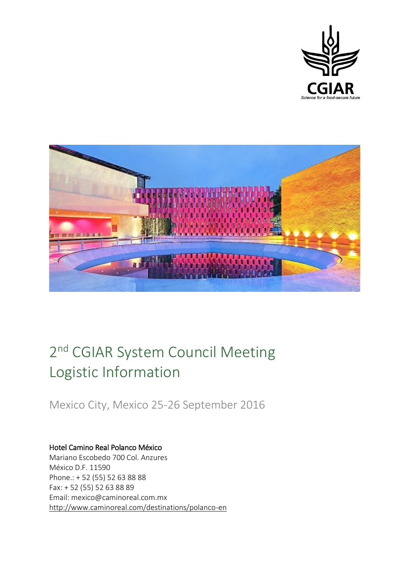



# 2<sup>nd</sup> CGIAR System Council Meeting Logistic Information

Mexico City, Mexico 25-26 September 2016

#### Hotel Camino Real Polanco México Mariano Escobedo 700 Col. Anzures México D.F. 11590

Phone.: + 52 (55) 52 63 88 88 Fax: + 52 (55) 52 63 88 89 Email: mexico@caminoreal.com.mx <http://www.caminoreal.com/destinations/polanco-en>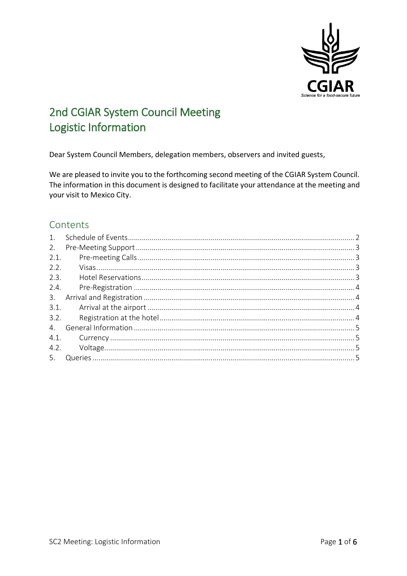

# 2nd CGIAR System Council Meeting Logistic Information

Dear System Council Members, delegation members, observers and invited guests,

We are pleased to invite you to the forthcoming second meeting of the CGIAR System Council. The information in this document is designed to facilitate your attendance at the meeting and your visit to Mexico City.

### Contents

| 1.            |  |
|---------------|--|
| 2.            |  |
| 2.1.          |  |
| 2.2.          |  |
| 2.3.          |  |
| 2.4.          |  |
| $\mathcal{E}$ |  |
| 3.1.          |  |
| 3.2.          |  |
| 4.            |  |
|               |  |
|               |  |
| 5.            |  |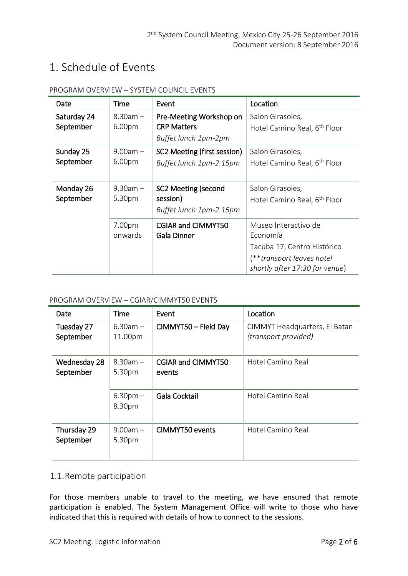# <span id="page-2-0"></span>1. Schedule of Events

| Date                     | Time                    | Event                                                                 | Location                                                                                                                       |
|--------------------------|-------------------------|-----------------------------------------------------------------------|--------------------------------------------------------------------------------------------------------------------------------|
| Saturday 24<br>September | $8.30am -$<br>6.00pm    | Pre-Meeting Workshop on<br><b>CRP Matters</b><br>Buffet lunch 1pm-2pm | Salon Girasoles,<br>Hotel Camino Real, 6 <sup>th</sup> Floor                                                                   |
| Sunday 25<br>September   | $9.00am -$<br>6.00pm    | SC2 Meeting (first session)<br>Buffet lunch 1pm-2.15pm                | Salon Girasoles,<br>Hotel Camino Real, 6 <sup>th</sup> Floor                                                                   |
| Monday 26<br>September   | $9.30$ am $-$<br>5.30pm | SC2 Meeting (second<br>session)<br>Buffet lunch 1pm-2.15pm            | Salon Girasoles,<br>Hotel Camino Real, 6 <sup>th</sup> Floor                                                                   |
|                          | 7.00pm<br>onwards       | <b>CGIAR and CIMMYT50</b><br><b>Gala Dinner</b>                       | Museo Interactivo de<br>Economía<br>Tacuba 17, Centro Histórico<br>(**transport leaves hotel<br>shortly after 17:30 for venue) |

#### PROGRAM OVERVIEW – SYSTEM COUNCIL EVENTS

#### PROGRAM OVERVIEW – CGIAR/CIMMYT50 EVENTS

| Date                      | Time                  | Event                               | Location                                              |
|---------------------------|-----------------------|-------------------------------------|-------------------------------------------------------|
| Tuesday 27<br>September   | $6.30am -$<br>11.00pm | CIMMYT50 - Field Day                | CIMMYT Headquarters, El Batan<br>(transport provided) |
| Wednesday 28<br>September | $8.30am -$<br>5.30pm  | <b>CGIAR and CIMMYT50</b><br>events | Hotel Camino Real                                     |
|                           | $6.30pm -$<br>8.30pm  | Gala Cocktail                       | Hotel Camino Real                                     |
| Thursday 29<br>September  | $9.00am -$<br>5.30pm  | <b>CIMMYT50</b> events              | Hotel Camino Real                                     |

#### 1.1.Remote participation

For those members unable to travel to the meeting, we have ensured that remote participation is enabled. The System Management Office will write to those who have indicated that this is required with details of how to connect to the sessions.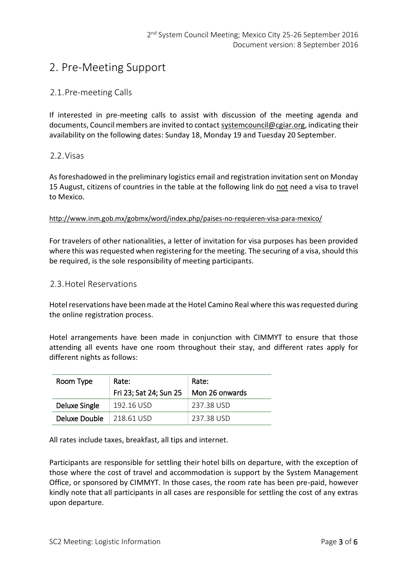# <span id="page-3-0"></span>2. Pre-Meeting Support

#### <span id="page-3-1"></span>2.1.Pre-meeting Calls

If interested in pre-meeting calls to assist with discussion of the meeting agenda and documents, Council members are invited to contact [systemcouncil@cgiar.org,](mailto:systemcouncil@cgiar.org) indicating their availability on the following dates: Sunday 18, Monday 19 and Tuesday 20 September.

#### <span id="page-3-2"></span>2.2.Visas

As foreshadowed in the preliminary logistics email and registration invitation sent on Monday 15 August, citizens of countries in the table at the following link do not need a visa to travel to Mexico.

#### <http://www.inm.gob.mx/gobmx/word/index.php/paises-no-requieren-visa-para-mexico/>

For travelers of other nationalities, a letter of invitation for visa purposes has been provided where this was requested when registering for the meeting. The securing of a visa, should this be required, is the sole responsibility of meeting participants.

#### <span id="page-3-3"></span>2.3.Hotel Reservations

Hotel reservations have been made at the Hotel Camino Real where this was requested during the online registration process.

Hotel arrangements have been made in conjunction with CIMMYT to ensure that those attending all events have one room throughout their stay, and different rates apply for different nights as follows:

| Room Type     | Rate:<br>Fri 23; Sat 24; Sun 25 $\parallel$ Mon 26 onwards | Rate:      |
|---------------|------------------------------------------------------------|------------|
| Deluxe Single | 192.16 USD                                                 | 237 38 USD |
| Deluxe Double | 218.61 USD                                                 | 237 38 USD |

All rates include taxes, breakfast, all tips and internet.

Participants are responsible for settling their hotel bills on departure, with the exception of those where the cost of travel and accommodation is support by the System Management Office, or sponsored by CIMMYT. In those cases, the room rate has been pre-paid, however kindly note that all participants in all cases are responsible for settling the cost of any extras upon departure.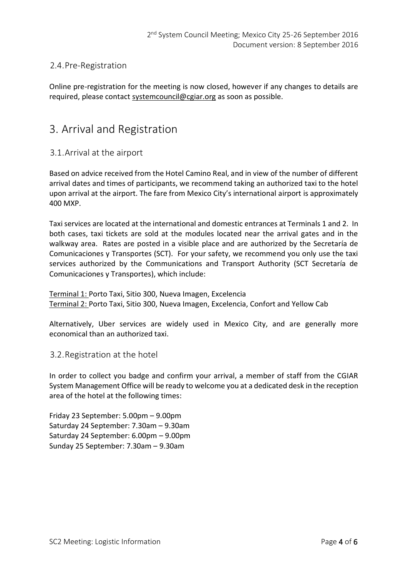### <span id="page-4-0"></span>2.4.Pre-Registration

Online pre-registration for the meeting is now closed, however if any changes to details are required, please contact [systemcouncil@cgiar.org](mailto:systemcouncil@cgiar.org) as soon as possible.

### <span id="page-4-1"></span>3. Arrival and Registration

#### <span id="page-4-2"></span>3.1.Arrival at the airport

Based on advice received from the Hotel Camino Real, and in view of the number of different arrival dates and times of participants, we recommend taking an authorized taxi to the hotel upon arrival at the airport. The fare from Mexico City's international airport is approximately 400 MXP.

Taxi services are located at the international and domestic entrances at Terminals 1 and 2. In both cases, taxi tickets are sold at the modules located near the arrival gates and in the walkway area. Rates are posted in a visible place and are authorized by the Secretaría de Comunicaciones y Transportes (SCT). For your safety, we recommend you only use the taxi services authorized by the Communications and Transport Authority (SCT Secretaría de Comunicaciones y Transportes), which include:

Terminal 1: Porto Taxi, Sitio 300, Nueva Imagen, Excelencia Terminal 2: Porto Taxi, Sitio 300, Nueva Imagen, Excelencia, Confort and Yellow Cab

Alternatively, Uber services are widely used in Mexico City, and are generally more economical than an authorized taxi.

#### <span id="page-4-3"></span>3.2.Registration at the hotel

In order to collect you badge and confirm your arrival, a member of staff from the CGIAR System Management Office will be ready to welcome you at a dedicated desk in the reception area of the hotel at the following times:

Friday 23 September: 5.00pm – 9.00pm Saturday 24 September: 7.30am – 9.30am Saturday 24 September: 6.00pm – 9.00pm Sunday 25 September: 7.30am – 9.30am